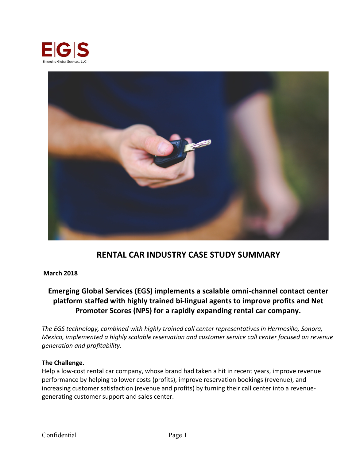



# **RENTAL CAR INDUSTRY CASE STUDY SUMMARY**

#### **March 2018**

## **Emerging Global Services (EGS) implements a scalable omni-channel contact center platform staffed with highly trained bi-lingual agents to improve profits and Net Promoter Scores (NPS) for a rapidly expanding rental car company.**

*The EGS technology, combined with highly trained call center representatives in Hermosillo, Sonora, Mexico, implemented a highly scalable reservation and customer service call center focused on revenue generation and profitability.*

#### **The Challenge**.

Help a low-cost rental car company, whose brand had taken a hit in recent years, improve revenue performance by helping to lower costs (profits), improve reservation bookings (revenue), and increasing customer satisfaction (revenue and profits) by turning their call center into a revenuegenerating customer support and sales center.